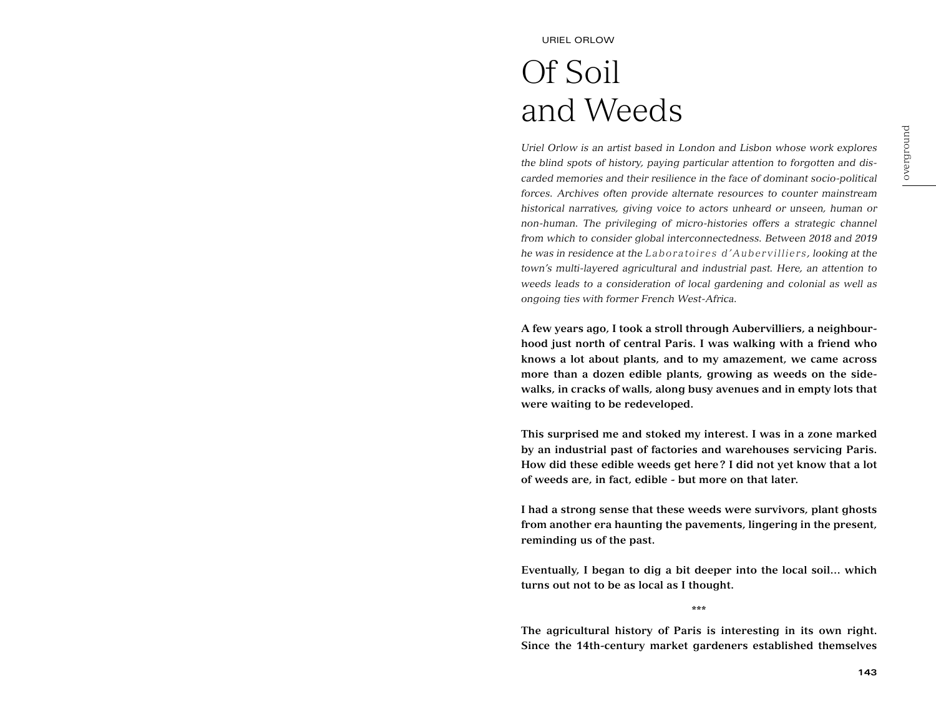# Of Soil and Weeds

*Uriel Orlow is an artist based in London and Lisbon whose work explores the blind spots of history, paying particular attention to forgotten and discarded memories and their resilience in the face of dominant socio-political forces. Archives often provide alternate resources to counter mainstream historical narratives, giving voice to actors unheard or unseen, human or non-human. The privileging of micro-histories offers a strategic channel from which to consider global interconnectedness. Between 2018 and 2019 he was in residence at the Laboratoires d'Aubervilliers , looking at the town's multi-layered agricultural and industrial past. Here, an attention to weeds leads to a consideration of local gardening and colonial as well as ongoing ties with former French West-Africa.* 

**A few years ago, I took a stroll through Aubervilliers, a neighbourhood just north of central Paris. I was walking with a friend who knows a lot about plants, and to my amazement, we came across more than a dozen edible plants, growing as weeds on the sidewalks, in cracks of walls, along busy avenues and in empty lots that were waiting to be redeveloped.** 

**This surprised me and stoked my interest. I was in a zone marked by an industrial past of factories and warehouses servicing Paris. How did these edible weeds get here? I did not yet know that a lot of weeds are, in fact, edible - but more on that later.** 

**I had a strong sense that these weeds were survivors, plant ghosts from another era haunting the pavements, lingering in the present, reminding us of the past.** 

**Eventually, I began to dig a bit deeper into the local soil… which turns out not to be as local as I thought.**

**\*\*\***

**The agricultural history of Paris is interesting in its own right. Since the 14th-century market gardeners established themselves**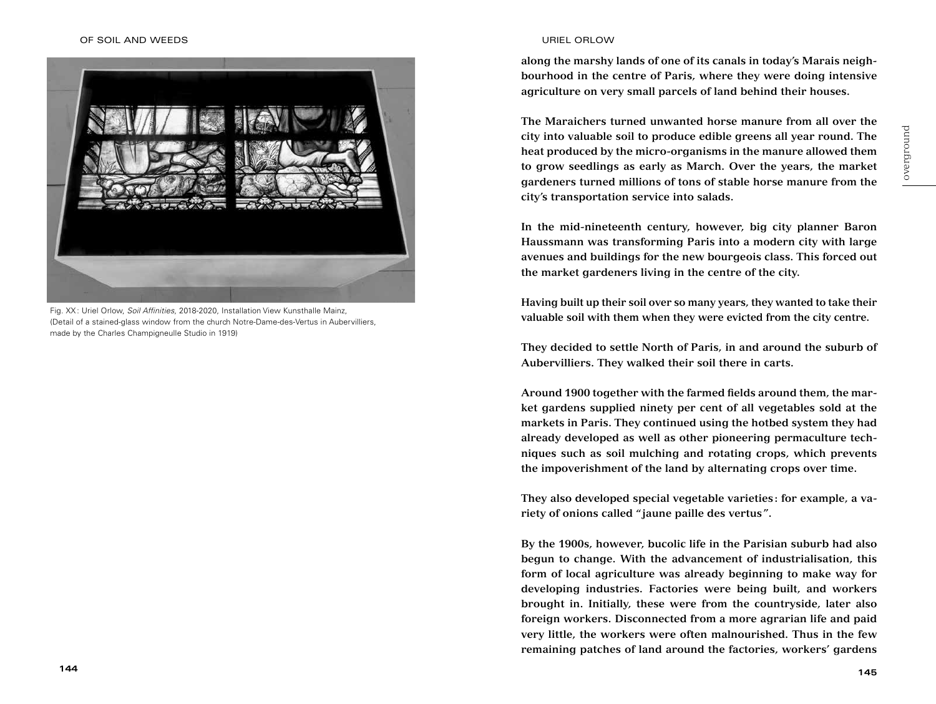

Fig. XX : Uriel Orlow, *Soil Affinities*, 2018-2020, Installation View Kunsthalle Mainz, (Detail of a stained-glass window from the church Notre-Dame-des-Vertus in Aubervilliers, made by the Charles Champigneulle Studio in 1919)

**along the marshy lands of one of its canals in today's Marais neighbourhood in the centre of Paris, where they were doing intensive agriculture on very small parcels of land behind their houses.** 

**The Maraichers turned unwanted horse manure from all over the city into valuable soil to produce edible greens all year round. The heat produced by the micro-organisms in the manure allowed them to grow seedlings as early as March. Over the years, the market gardeners turned millions of tons of stable horse manure from the city's transportation service into salads.**

**In the mid-nineteenth century, however, big city planner Baron Haussmann was transforming Paris into a modern city with large avenues and buildings for the new bourgeois class. This forced out the market gardeners living in the centre of the city.** 

**Having built up their soil over so many years, they wanted to take their valuable soil with them when they were evicted from the city centre.** 

**They decided to settle North of Paris, in and around the suburb of Aubervilliers. They walked their soil there in carts.** 

**Around 1900 together with the farmed fields around them, the market gardens supplied ninety per cent of all vegetables sold at the markets in Paris. They continued using the hotbed system they had already developed as well as other pioneering permaculture techniques such as soil mulching and rotating crops, which prevents the impoverishment of the land by alternating crops over time.** 

**They also developed special vegetable varieties: for example, a variety of onions called " jaune paille des vertus".** 

**By the 1900s, however, bucolic life in the Parisian suburb had also begun to change. With the advancement of industrialisation, this form of local agriculture was already beginning to make way for developing industries. Factories were being built, and workers brought in. Initially, these were from the countryside, later also foreign workers. Disconnected from a more agrarian life and paid very little, the workers were often malnourished. Thus in the few remaining patches of land around the factories, workers' gardens**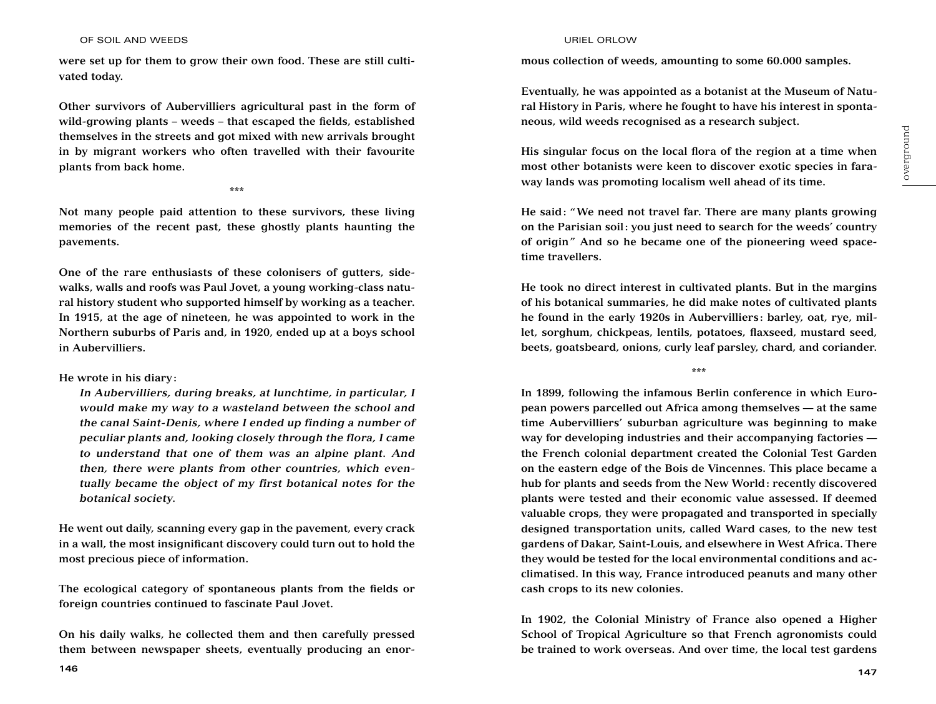## OF SOIL AND WEEDS URIEL ORLOW

**were set up for them to grow their own food. These are still cultivated today.** 

**Other survivors of Aubervilliers agricultural past in the form of wild-growing plants – weeds – that escaped the fields, established themselves in the streets and got mixed with new arrivals brought in by migrant workers who often travelled with their favourite plants from back home.** 

**\*\*\***

**Not many people paid attention to these survivors, these living memories of the recent past, these ghostly plants haunting the pavements.** 

**One of the rare enthusiasts of these colonisers of gutters, sidewalks, walls and roofs was Paul Jovet, a young working-class natural history student who supported himself by working as a teacher. In 1915, at the age of nineteen, he was appointed to work in the Northern suburbs of Paris and, in 1920, ended up at a boys school in Aubervilliers.** 

**He wrote in his diary:** 

*In Aubervilliers, during breaks, at lunchtime, in particular, I would make my way to a wasteland between the school and the canal Saint-Denis, where I ended up finding a number of peculiar plants and, looking closely through the flora, I came to understand that one of them was an alpine plant. And then, there were plants from other countries, which eventually became the object of my first botanical notes for the botanical society.* 

**He went out daily, scanning every gap in the pavement, every crack in a wall, the most insignificant discovery could turn out to hold the most precious piece of information.**

**The ecological category of spontaneous plants from the fields or foreign countries continued to fascinate Paul Jovet.** 

**On his daily walks, he collected them and then carefully pressed them between newspaper sheets, eventually producing an enor-**

**mous collection of weeds, amounting to some 60.000 samples.** 

**Eventually, he was appointed as a botanist at the Museum of Natural History in Paris, where he fought to have his interest in spontaneous, wild weeds recognised as a research subject.** 

**His singular focus on the local flora of the region at a time when most other botanists were keen to discover exotic species in faraway lands was promoting localism well ahead of its time.** 

**He said: "We need not travel far. There are many plants growing on the Parisian soil: you just need to search for the weeds' country of origin" And so he became one of the pioneering weed spacetime travellers.**

**He took no direct interest in cultivated plants. But in the margins of his botanical summaries, he did make notes of cultivated plants he found in the early 1920s in Aubervilliers: barley, oat, rye, millet, sorghum, chickpeas, lentils, potatoes, flaxseed, mustard seed, beets, goatsbeard, onions, curly leaf parsley, chard, and coriander.** 

**\*\*\***

**In 1899, following the infamous Berlin conference in which European powers parcelled out Africa among themselves — at the same time Aubervilliers' suburban agriculture was beginning to make way for developing industries and their accompanying factories the French colonial department created the Colonial Test Garden on the eastern edge of the Bois de Vincennes. This place became a hub for plants and seeds from the New World: recently discovered plants were tested and their economic value assessed. If deemed valuable crops, they were propagated and transported in specially designed transportation units, called Ward cases, to the new test gardens of Dakar, Saint-Louis, and elsewhere in West Africa. There they would be tested for the local environmental conditions and acclimatised. In this way, France introduced peanuts and many other cash crops to its new colonies.** 

**In 1902, the Colonial Ministry of France also opened a Higher School of Tropical Agriculture so that French agronomists could be trained to work overseas. And over time, the local test gardens**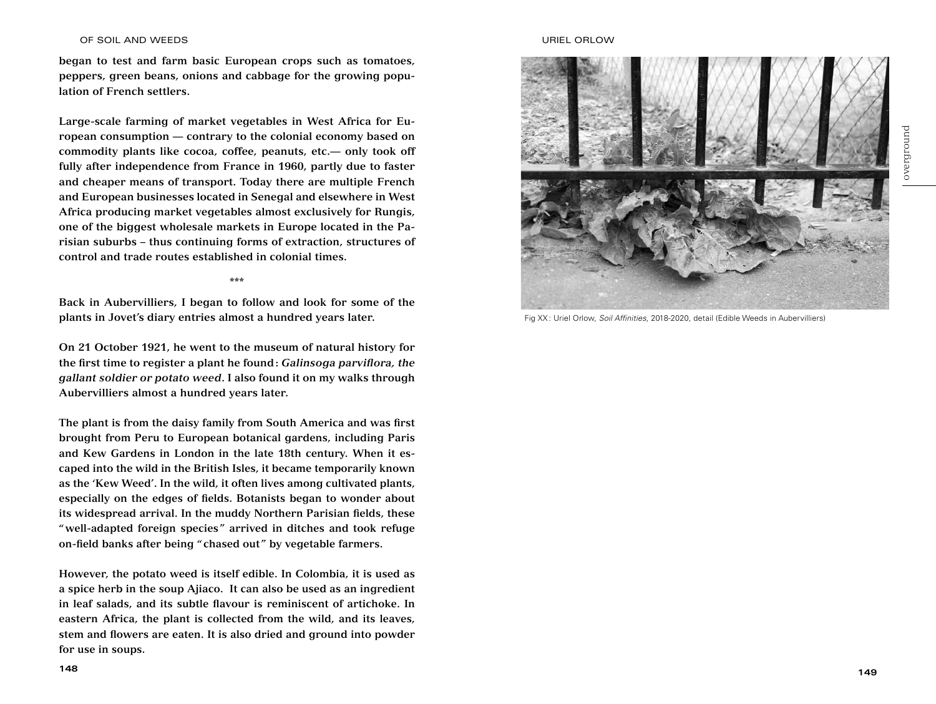## OF SOIL AND WEEDS URIEL ORLOW

**began to test and farm basic European crops such as tomatoes, peppers, green beans, onions and cabbage for the growing population of French settlers.** 

**Large-scale farming of market vegetables in West Africa for European consumption — contrary to the colonial economy based on commodity plants like cocoa, coffee, peanuts, etc.— only took off fully after independence from France in 1960, partly due to faster and cheaper means of transport. Today there are multiple French and European businesses located in Senegal and elsewhere in West Africa producing market vegetables almost exclusively for Rungis, one of the biggest wholesale markets in Europe located in the Parisian suburbs – thus continuing forms of extraction, structures of control and trade routes established in colonial times.** 

**\*\*\***

**Back in Aubervilliers, I began to follow and look for some of the plants in Jovet's diary entries almost a hundred years later.**

**On 21 October 1921, he went to the museum of natural history for the first time to register a plant he found:** *Galinsoga parviflora, the gallant soldier or potato weed***. I also found it on my walks through Aubervilliers almost a hundred years later.** 

**The plant is from the daisy family from South America and was first brought from Peru to European botanical gardens, including Paris and Kew Gardens in London in the late 18th century. When it escaped into the wild in the British Isles, it became temporarily known as the 'Kew Weed'. In the wild, it often lives among cultivated plants, especially on the edges of fields. Botanists began to wonder about its widespread arrival. In the muddy Northern Parisian fields, these "well-adapted foreign species" arrived in ditches and took refuge on-field banks after being "chased out" by vegetable farmers.** 

**However, the potato weed is itself edible. In Colombia, it is used as a spice herb in the soup Ajiaco. It can also be used as an ingredient in leaf salads, and its subtle flavour is reminiscent of artichoke. In eastern Africa, the plant is collected from the wild, and its leaves, stem and flowers are eaten. It is also dried and ground into powder for use in soups.** 



Fig XX : Uriel Orlow, *Soil Affinities*, 2018-2020, detail (Edible Weeds in Aubervilliers)